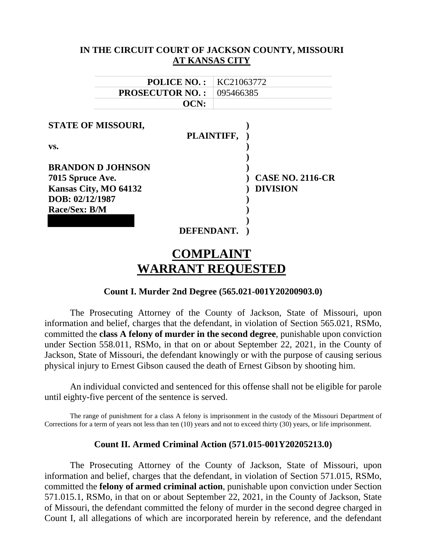|                                                                                          | IN THE CIRCUIT COURT OF JACKSON COUNTY, MISSOURI<br>AT KANSAS CITY |
|------------------------------------------------------------------------------------------|--------------------------------------------------------------------|
| <b>POLICE NO.:</b>                                                                       | KC21063772                                                         |
| <b>PROSECUTOR NO.:</b><br>OCN:                                                           | 095466385                                                          |
| STATE OF MISSOURI,                                                                       | PLAINTIFF,                                                         |
| VS.                                                                                      |                                                                    |
| <b>BRANDON D JOHNSON</b><br>7015 Spruce Ave.<br>Kansas City, MO 64132<br>DOB: 02/12/1987 | <b>CASE NO. 2116-CR</b><br><b>DIVISION</b>                         |
| Race/Sex: B/M                                                                            | DEFENDANT.                                                         |
|                                                                                          | COMPLAINT                                                          |

# **COMPLAINT WARRANT REQUESTED**

## **Count I. Murder 2nd Degree (565.021-001Y20200903.0)**

The Prosecuting Attorney of the County of Jackson, State of Missouri, upon information and belief, charges that the defendant, in violation of Section 565.021, RSMo, committed the **class A felony of murder in the second degree**, punishable upon conviction under Section 558.011, RSMo, in that on or about September 22, 2021, in the County of Jackson, State of Missouri, the defendant knowingly or with the purpose of causing serious physical injury to Ernest Gibson caused the death of Ernest Gibson by shooting him.

An individual convicted and sentenced for this offense shall not be eligible for parole until eighty-five percent of the sentence is served.

The range of punishment for a class A felony is imprisonment in the custody of the Missouri Department of Corrections for a term of years not less than ten (10) years and not to exceed thirty (30) years, or life imprisonment.

## **Count II. Armed Criminal Action (571.015-001Y20205213.0)**

The Prosecuting Attorney of the County of Jackson, State of Missouri, upon information and belief, charges that the defendant, in violation of Section 571.015, RSMo, committed the **felony of armed criminal action**, punishable upon conviction under Section 571.015.1, RSMo, in that on or about September 22, 2021, in the County of Jackson, State of Missouri, the defendant committed the felony of murder in the second degree charged in Count I, all allegations of which are incorporated herein by reference, and the defendant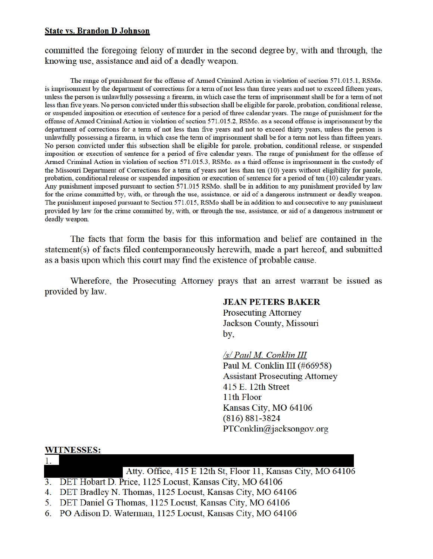#### **State vs. Brandon D Johnson**

committed the foregoing felony of murder in the second degree by, with and through, the knowing use, assistance and aid of a deadly weapon.

The range of punishment for the offense of Armed Criminal Action in violation of section 571.015.1, RSMo. is imprisonment by the department of corrections for a term of not less than three years and not to exceed fifteen years, unless the person is unlawfully possessing a firearm, in which case the term of imprisonment shall be for a term of not less than five years. No person convicted under this subsection shall be eligible for parole, probation, conditional release, or suspended imposition or execution of sentence for a period of three calendar years. The range of punishment for the offense of Armed Criminal Action in violation of section 571.015.2, RSMo. as a second offense is imprisonment by the department of corrections for a term of not less than five years and not to exceed thirty years, unless the person is unlawfully possessing a firearm, in which case the term of imprisonment shall be for a term not less than fifteen years. No person convicted under this subsection shall be eligible for parole, probation, conditional release, or suspended imposition or execution of sentence for a period of five calendar years. The range of punishment for the offense of Armed Criminal Action in violation of section 571.015.3, RSMo. as a third offense is imprisonment in the custody of the Missouri Department of Corrections for a term of years not less than ten (10) years without eligibility for parole, probation, conditional release or suspended imposition or execution of sentence for a period of ten (10) calendar years. Any punishment imposed pursuant to section 571.015 RSMo. shall be in addition to any punishment provided by law for the crime committed by, with, or through the use, assistance, or aid of a dangerous instrument or deadly weapon. The punishment imposed pursuant to Section 571.015, RSMo shall be in addition to and consecutive to any punishment provided by law for the crime committed by, with, or through the use, assistance, or aid of a dangerous instrument or deadly weapon.

The facts that form the basis for this information and belief are contained in the statement(s) of facts filed contemporaneously herewith, made a part hereof, and submitted as a basis upon which this court may find the existence of probable cause.

Wherefore, the Prosecuting Attorney prays that an arrest warrant be issued as provided by law.

#### **JEAN PETERS BAKER**

**Prosecuting Attorney** Jackson County, Missouri by,

/s/ Paul M. Conklin III

Paul M. Conklin III (#66958) **Assistant Prosecuting Attorney** 415 E. 12th Street 11th Floor Kansas City, MO 64106  $(816) 881 - 3824$  $PTConklin@jacksongov.org$ 

#### **WITNESSES:**

Atty. Office, 415 E 12th St, Floor 11, Kansas City, MO 64106

- 3. DET Hobart D. Price, 1125 Locust, Kansas City, MO 64106
- 4. DET Bradley N. Thomas, 1125 Locust, Kansas City, MO 64106
- 5. DET Daniel G Thomas, 1125 Locust, Kansas City, MO 64106
- 6. PO Adison D. Waterman, 1125 Locust, Kansas City, MO 64106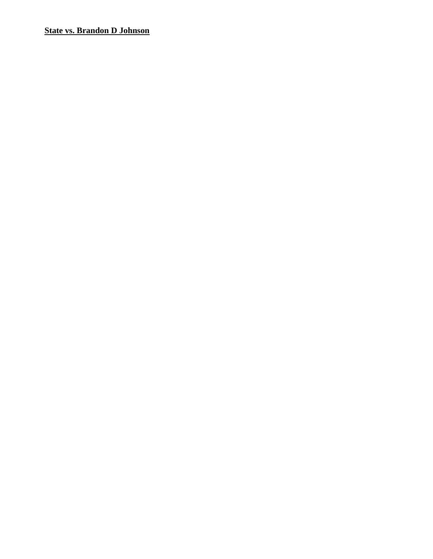# **State vs. Brandon D Johnson**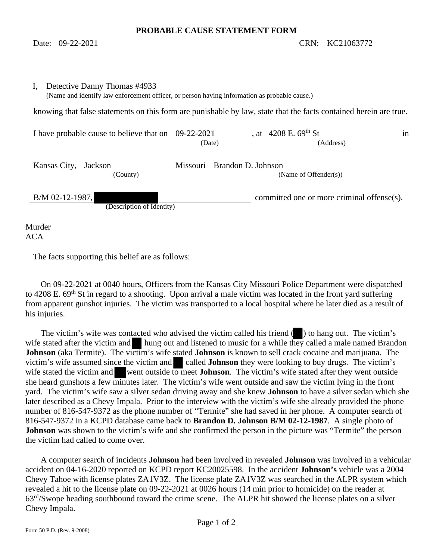| Detective Danny Thomas #4933<br>(Name and identify law enforcement officer, or person having information as probable cause.) |        |                                                                                                                   |
|------------------------------------------------------------------------------------------------------------------------------|--------|-------------------------------------------------------------------------------------------------------------------|
|                                                                                                                              |        | knowing that false statements on this form are punishable by law, state that the facts contained herein are true. |
| I have probable cause to believe that on $09-22-2021$                                                                        | (Date) | , at $4208$ E. $69^{\text{th}}$ St<br>1n<br>(Address)                                                             |
| Kansas City, Jackson<br>(County)                                                                                             |        | Missouri Brandon D. Johnson<br>(Name of Offender(s))                                                              |
| $B/M$ 02-12-1987,<br>(Description of Identity)                                                                               |        | committed one or more criminal offense(s).                                                                        |
| Murder                                                                                                                       |        |                                                                                                                   |

ACA

The facts supporting this belief are as follows:

 On 09-22-2021 at 0040 hours, Officers from the Kansas City Missouri Police Department were dispatched to 4208 E. 69<sup>th</sup> St in regard to a shooting. Upon arrival a male victim was located in the front yard suffering from apparent gunshot injuries. The victim was transported to a local hospital where he later died as a result of his injuries.

The victim's wife was contacted who advised the victim called his friend () to hang out. The victim's wife stated after the victim and hung out and listened to music for a while they called a male named Brandon **Johnson** (aka Termite). The victim's wife stated **Johnson** is known to sell crack cocaine and marijuana. The victim's wife assumed since the victim and called **Johnson** they were looking to buy drugs. The victim's wife stated the victim and went outside to meet **Johnson**. The victim's wife stated after they went outside she heard gunshots a few minutes later. The victim's wife went outside and saw the victim lying in the front yard. The victim's wife saw a silver sedan driving away and she knew **Johnson** to have a silver sedan which she later described as a Chevy Impala. Prior to the interview with the victim's wife she already provided the phone number of 816-547-9372 as the phone number of "Termite" she had saved in her phone. A computer search of 816-547-9372 in a KCPD database came back to **Brandon D. Johnson B/M 02-12-1987**. A single photo of **Johnson** was shown to the victim's wife and she confirmed the person in the picture was "Termite" the person the victim had called to come over.

 A computer search of incidents **Johnson** had been involved in revealed **Johnson** was involved in a vehicular accident on 04-16-2020 reported on KCPD report KC20025598. In the accident **Johnson's** vehicle was a 2004 Chevy Tahoe with license plates ZA1V3Z. The license plate ZA1V3Z was searched in the ALPR system which revealed a hit to the license plate on 09-22-2021 at 0026 hours (14 min prior to homicide) on the reader at 63rd/Swope heading southbound toward the crime scene. The ALPR hit showed the license plates on a silver Chevy Impala.